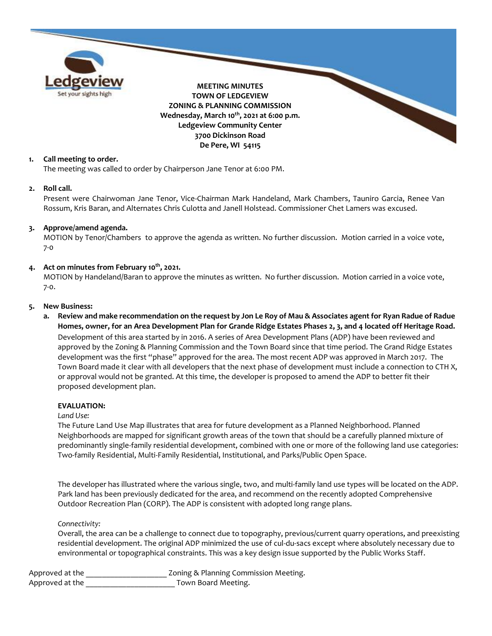

### **1. Call meeting to order.**

The meeting was called to order by Chairperson Jane Tenor at 6:00 PM.

#### **2. Roll call.**

Present were Chairwoman Jane Tenor, Vice-Chairman Mark Handeland, Mark Chambers, Tauniro Garcia, Renee Van Rossum, Kris Baran, and Alternates Chris Culotta and Janell Holstead. Commissioner Chet Lamers was excused.

### **3. Approve/amend agenda.**

MOTION by Tenor/Chambers to approve the agenda as written. No further discussion. Motion carried in a voice vote, 7-0

### **4. Act on minutes from February 10th, 2021.**

MOTION by Handeland/Baran to approve the minutes as written. No further discussion. Motion carried in a voice vote, 7-0.

#### **5. New Business:**

**a. Review and make recommendation on the request by Jon Le Roy of Mau & Associates agent for Ryan Radue of Radue Homes, owner, for an Area Development Plan for Grande Ridge Estates Phases 2, 3, and 4 located off Heritage Road.**

Development of this area started by in 2016. A series of Area Development Plans (ADP) have been reviewed and approved by the Zoning & Planning Commission and the Town Board since that time period. The Grand Ridge Estates development was the first "phase" approved for the area. The most recent ADP was approved in March 2017. The Town Board made it clear with all developers that the next phase of development must include a connection to CTH X, or approval would not be granted. At this time, the developer is proposed to amend the ADP to better fit their proposed development plan.

#### **EVALUATION:**

#### *Land Use:*

The Future Land Use Map illustrates that area for future development as a Planned Neighborhood. Planned Neighborhoods are mapped for significant growth areas of the town that should be a carefully planned mixture of predominantly single-family residential development, combined with one or more of the following land use categories: Two-family Residential, Multi-Family Residential, Institutional, and Parks/Public Open Space.

The developer has illustrated where the various single, two, and multi-family land use types will be located on the ADP. Park land has been previously dedicated for the area, and recommend on the recently adopted Comprehensive Outdoor Recreation Plan (CORP). The ADP is consistent with adopted long range plans.

#### *Connectivity:*

Overall, the area can be a challenge to connect due to topography, previous/current quarry operations, and preexisting residential development. The original ADP minimized the use of cul-du-sacs except where absolutely necessary due to environmental or topographical constraints. This was a key design issue supported by the Public Works Staff.

Approved at the \_\_\_\_\_\_\_\_\_\_\_\_\_\_\_\_\_\_\_\_\_\_\_ Zoning & Planning Commission Meeting. Approved at the **August** Town Board Meeting.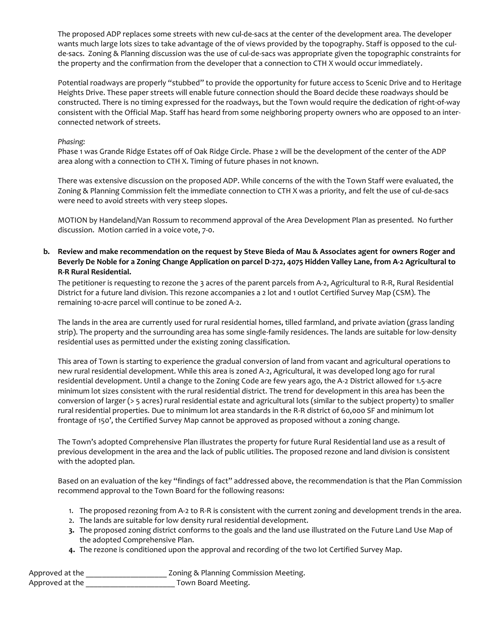The proposed ADP replaces some streets with new cul-de-sacs at the center of the development area. The developer wants much large lots sizes to take advantage of the of views provided by the topography. Staff is opposed to the culde-sacs. Zoning & Planning discussion was the use of cul-de-sacs was appropriate given the topographic constraints for the property and the confirmation from the developer that a connection to CTH X would occur immediately.

Potential roadways are properly "stubbed" to provide the opportunity for future access to Scenic Drive and to Heritage Heights Drive. These paper streets will enable future connection should the Board decide these roadways should be constructed. There is no timing expressed for the roadways, but the Town would require the dedication of right-of-way consistent with the Official Map. Staff has heard from some neighboring property owners who are opposed to an interconnected network of streets.

### *Phasing:*

Phase 1 was Grande Ridge Estates off of Oak Ridge Circle. Phase 2 will be the development of the center of the ADP area along with a connection to CTH X. Timing of future phases in not known.

There was extensive discussion on the proposed ADP. While concerns of the with the Town Staff were evaluated, the Zoning & Planning Commission felt the immediate connection to CTH X was a priority, and felt the use of cul-de-sacs were need to avoid streets with very steep slopes.

MOTION by Handeland/Van Rossum to recommend approval of the Area Development Plan as presented. No further discussion. Motion carried in a voice vote, 7-0.

## **b. Review and make recommendation on the request by Steve Bieda of Mau & Associates agent for owners Roger and Beverly De Noble for a Zoning Change Application on parcel D-272, 4075 Hidden Valley Lane, from A-2 Agricultural to R-R Rural Residential.**

The petitioner is requesting to rezone the 3 acres of the parent parcels from A-2, Agricultural to R-R, Rural Residential District for a future land division. This rezone accompanies a 2 lot and 1 outlot Certified Survey Map (CSM). The remaining 10-acre parcel will continue to be zoned A-2.

The lands in the area are currently used for rural residential homes, tilled farmland, and private aviation (grass landing strip). The property and the surrounding area has some single-family residences. The lands are suitable for low-density residential uses as permitted under the existing zoning classification.

This area of Town is starting to experience the gradual conversion of land from vacant and agricultural operations to new rural residential development. While this area is zoned A-2, Agricultural, it was developed long ago for rural residential development. Until a change to the Zoning Code are few years ago, the A-2 District allowed for 1.5-acre minimum lot sizes consistent with the rural residential district. The trend for development in this area has been the conversion of larger (> 5 acres) rural residential estate and agricultural lots (similar to the subject property) to smaller rural residential properties. Due to minimum lot area standards in the R-R district of 60,000 SF and minimum lot frontage of 150', the Certified Survey Map cannot be approved as proposed without a zoning change.

The Town's adopted Comprehensive Plan illustrates the property for future Rural Residential land use as a result of previous development in the area and the lack of public utilities. The proposed rezone and land division is consistent with the adopted plan.

Based on an evaluation of the key "findings of fact" addressed above, the recommendation is that the Plan Commission recommend approval to the Town Board for the following reasons:

- 1. The proposed rezoning from A-2 to R-R is consistent with the current zoning and development trends in the area.
- 2. The lands are suitable for low density rural residential development.
- **3.** The proposed zoning district conforms to the goals and the land use illustrated on the Future Land Use Map of the adopted Comprehensive Plan.
- **4.** The rezone is conditioned upon the approval and recording of the two lot Certified Survey Map.

| Approved at the | Zoning & Planning Commission Meeting. |
|-----------------|---------------------------------------|
| Approved at the | Town Board Meeting.                   |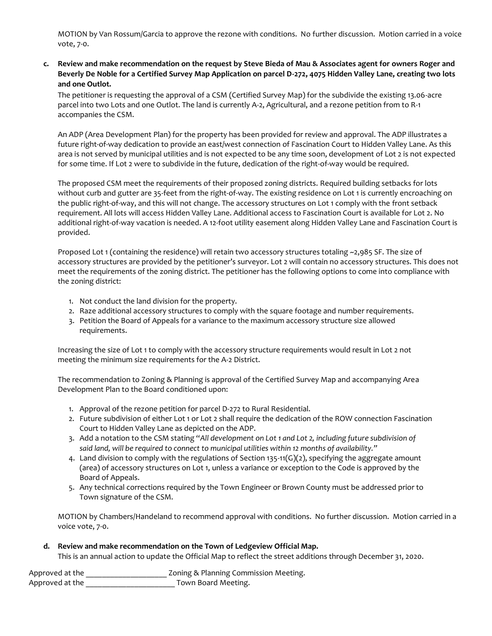MOTION by Van Rossum/Garcia to approve the rezone with conditions. No further discussion. Motion carried in a voice vote, 7-0.

# **c. Review and make recommendation on the request by Steve Bieda of Mau & Associates agent for owners Roger and Beverly De Noble for a Certified Survey Map Application on parcel D-272, 4075 Hidden Valley Lane, creating two lots and one Outlot.**

The petitioner is requesting the approval of a CSM (Certified Survey Map) for the subdivide the existing 13.06-acre parcel into two Lots and one Outlot. The land is currently A-2, Agricultural, and a rezone petition from to R-1 accompanies the CSM.

An ADP (Area Development Plan) for the property has been provided for review and approval. The ADP illustrates a future right-of-way dedication to provide an east/west connection of Fascination Court to Hidden Valley Lane. As this area is not served by municipal utilities and is not expected to be any time soon, development of Lot 2 is not expected for some time. If Lot 2 were to subdivide in the future, dedication of the right-of-way would be required.

The proposed CSM meet the requirements of their proposed zoning districts. Required building setbacks for lots without curb and gutter are 35-feet from the right-of-way. The existing residence on Lot 1 is currently encroaching on the public right-of-way, and this will not change. The accessory structures on Lot 1 comply with the front setback requirement. All lots will access Hidden Valley Lane. Additional access to Fascination Court is available for Lot 2. No additional right-of-way vacation is needed. A 12-foot utility easement along Hidden Valley Lane and Fascination Court is provided.

Proposed Lot 1 (containing the residence) will retain two accessory structures totaling ~2,985 SF. The size of accessory structures are provided by the petitioner's surveyor. Lot 2 will contain no accessory structures. This does not meet the requirements of the zoning district. The petitioner has the following options to come into compliance with the zoning district:

- 1. Not conduct the land division for the property.
- 2. Raze additional accessory structures to comply with the square footage and number requirements.
- 3. Petition the Board of Appeals for a variance to the maximum accessory structure size allowed requirements.

Increasing the size of Lot 1 to comply with the accessory structure requirements would result in Lot 2 not meeting the minimum size requirements for the A-2 District.

The recommendation to Zoning & Planning is approval of the Certified Survey Map and accompanying Area Development Plan to the Board conditioned upon:

- 1. Approval of the rezone petition for parcel D-272 to Rural Residential.
- 2. Future subdivision of either Lot 1 or Lot 2 shall require the dedication of the ROW connection Fascination Court to Hidden Valley Lane as depicted on the ADP.
- 3. Add a notation to the CSM stating "*All development on Lot 1 and Lot 2, including future subdivision of said land, will be required to connect to municipal utilities within 12 months of availability."*
- 4. Land division to comply with the regulations of Section 135-11(G)(2), specifying the aggregate amount (area) of accessory structures on Lot 1, unless a variance or exception to the Code is approved by the Board of Appeals.
- 5. Any technical corrections required by the Town Engineer or Brown County must be addressed prior to Town signature of the CSM.

MOTION by Chambers/Handeland to recommend approval with conditions. No further discussion. Motion carried in a voice vote, 7-0.

# **d. Review and make recommendation on the Town of Ledgeview Official Map.**

This is an annual action to update the Official Map to reflect the street additions through December 31, 2020.

Approved at the \_\_\_\_\_\_\_\_\_\_\_\_\_\_\_\_\_\_\_\_\_\_\_\_ Zoning & Planning Commission Meeting. Approved at the \_\_\_\_\_\_\_\_\_\_\_\_\_\_\_\_\_\_\_\_\_\_\_\_\_\_\_\_\_ Town Board Meeting.